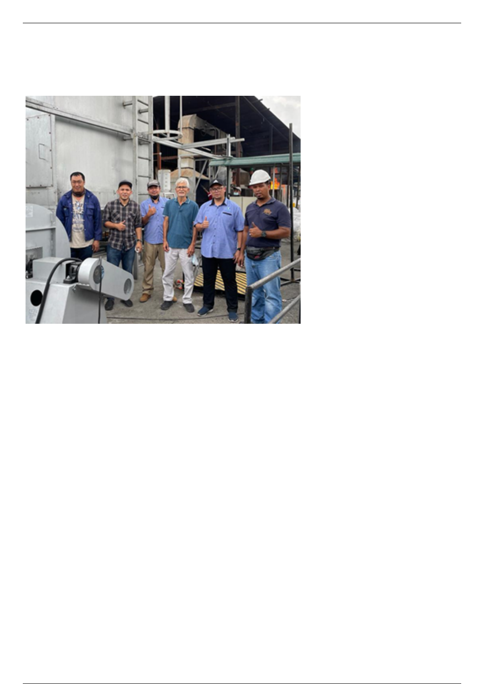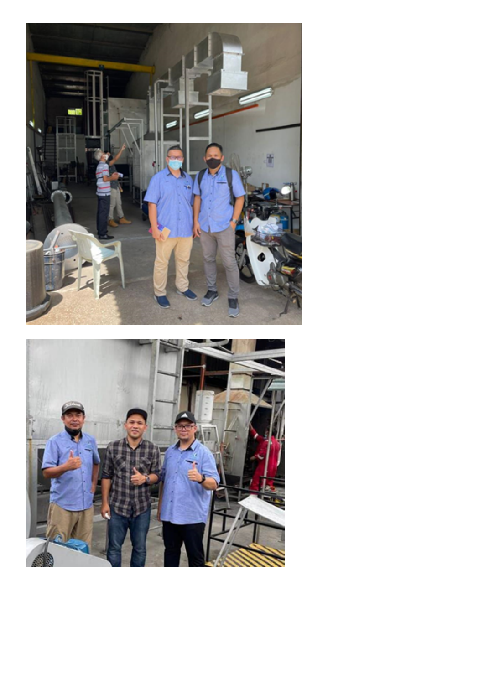

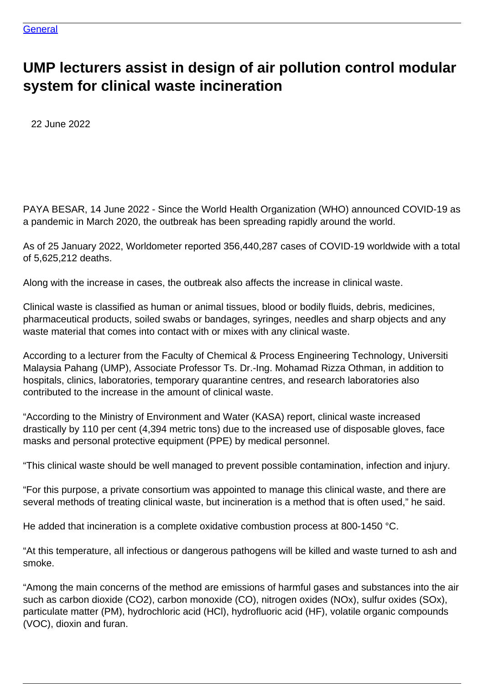## **UMP lecturers assist in design of air pollution control modular system for clinical waste incineration**

22 June 2022

PAYA BESAR, 14 June 2022 - Since the World Health Organization (WHO) announced COVID-19 as a pandemic in March 2020, the outbreak has been spreading rapidly around the world.

As of 25 January 2022, Worldometer reported 356,440,287 cases of COVID-19 worldwide with a total of 5,625,212 deaths.

Along with the increase in cases, the outbreak also affects the increase in clinical waste.

Clinical waste is classified as human or animal tissues, blood or bodily fluids, debris, medicines, pharmaceutical products, soiled swabs or bandages, syringes, needles and sharp objects and any waste material that comes into contact with or mixes with any clinical waste.

According to a lecturer from the Faculty of Chemical & Process Engineering Technology, Universiti Malaysia Pahang (UMP), Associate Professor Ts. Dr.-Ing. Mohamad Rizza Othman, in addition to hospitals, clinics, laboratories, temporary quarantine centres, and research laboratories also contributed to the increase in the amount of clinical waste.

"According to the Ministry of Environment and Water (KASA) report, clinical waste increased drastically by 110 per cent (4,394 metric tons) due to the increased use of disposable gloves, face masks and personal protective equipment (PPE) by medical personnel.

"This clinical waste should be well managed to prevent possible contamination, infection and injury.

"For this purpose, a private consortium was appointed to manage this clinical waste, and there are several methods of treating clinical waste, but incineration is a method that is often used," he said.

He added that incineration is a complete oxidative combustion process at 800-1450 °C.

"At this temperature, all infectious or dangerous pathogens will be killed and waste turned to ash and smoke.

"Among the main concerns of the method are emissions of harmful gases and substances into the air such as carbon dioxide (CO2), carbon monoxide (CO), nitrogen oxides (NOx), sulfur oxides (SOx), particulate matter (PM), hydrochloric acid (HCl), hydrofluoric acid (HF), volatile organic compounds (VOC), dioxin and furan.